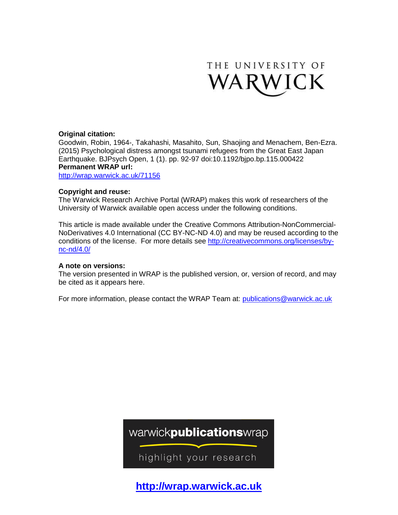

# **Original citation:**

Goodwin, Robin, 1964-, Takahashi, Masahito, Sun, Shaojing and Menachem, Ben-Ezra. (2015) Psychological distress amongst tsunami refugees from the Great East Japan Earthquake. BJPsych Open, 1 (1). pp. 92-97 doi:10.1192/bjpo.bp.115.000422 **Permanent WRAP url:**

<http://wrap.warwick.ac.uk/71156>

# **Copyright and reuse:**

The Warwick Research Archive Portal (WRAP) makes this work of researchers of the University of Warwick available open access under the following conditions.

This article is made available under the Creative Commons Attribution-NonCommercial-NoDerivatives 4.0 International (CC BY-NC-ND 4.0) and may be reused according to the conditions of the license. For more details see [http://creativecommons.org/licenses/by](http://creativecommons.org/licenses/by-nc-nd/4.0/)[nc-nd/4.0/](http://creativecommons.org/licenses/by-nc-nd/4.0/)

# **A note on versions:**

The version presented in WRAP is the published version, or, version of record, and may be cited as it appears here.

For more information, please contact the WRAP Team at: [publications@warwick.ac.uk](mailto:publications@warwick.ac.uk)

warwickpublicationswrap

highlight your research

**[http://wrap.warwick.ac.uk](http://wrap.warwick.ac.uk/)**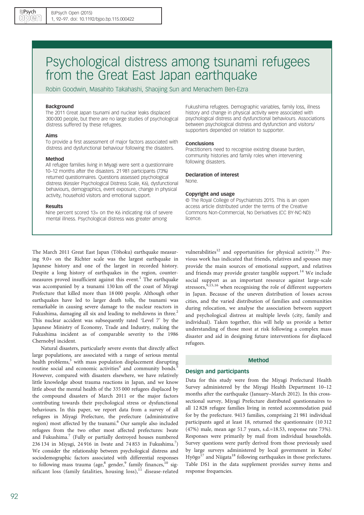# Psychological distress among tsunami refugees from the Great East Japan earthquake

Robin Goodwin, Masahito Takahashi, Shaojing Sun and Menachem Ben-Ezra

#### Background

The 2011 Great Japan tsunami and nuclear leaks displaced 300 000 people, but there are no large studies of psychological distress suffered by these refugees.

#### Aims

To provide a first assessment of major factors associated with distress and dysfunctional behaviour following the disasters.

#### Method

All refugee families living in Miyagi were sent a questionnaire 10–12 months after the disasters. 21 981 participants (73%) returned questionnaires. Questions assessed psychological distress (Kessler Psychological Distress Scale, K6), dysfunctional behaviours, demographics, event exposure, change in physical activity, household visitors and emotional support.

#### Results

Nine percent scored 13+ on the K6 indicating risk of severe mental illness. Psychological distress was greater among

Fukushima refugees. Demographic variables, family loss, illness history and change in physical activity were associated with psychological distress and dysfunctional behaviours. Associations between psychological distress and dysfunction and visitors/ supporters depended on relation to supporter.

#### **Conclusions**

Practitioners need to recognise existing disease burden, community histories and family roles when intervening following disasters.

# Declaration of interest

None.

#### Copyright and usage

© The Royal College of Psychiatrists 2015. This is an open access article distributed under the terms of the Creative Commons Non-Commercial, No Derivatives (CC BY-NC-ND) licence.

The March 2011 Great East Japan (Tōhoku) earthquake measuring 9.0+ on the Richter scale was the largest earthquake in Japanese history and one of the largest in recorded history. Despite a long history of earthquakes in the region, counter-measures proved insufficient against this event.<sup>[1](#page-6-0)</sup> The earthquake was accompanied by a tsunami 130 km off the coast of Miyagi Prefecture that killed more than 18 000 people. Although other earthquakes have led to larger death tolls, the tsunami was remarkable in causing severe damage to the nuclear reactors in Fukushima, damaging all six and leading to meltdowns in three.<sup>[2](#page-6-0)</sup> This nuclear accident was subsequently rated 'Level 7' by the Japanese Ministry of Economy, Trade and Industry, making the Fukushima incident as of comparable severity to the 1986 Chernobyl incident.

Natural disasters, particularly severe events that directly affect large populations, are associated with a range of serious mental health problems,<sup>[3](#page-6-0)</sup> with mass population displacement disrupting routine social and economic activities<sup>[4](#page-6-0)</sup> and community bonds.<sup>[5](#page-6-0)</sup> However, compared with disasters elsewhere, we have relatively little knowledge about trauma reactions in Japan, and we know little about the mental health of the 335 000 refugees displaced by the compound disasters of March 2011 or the major factors contributing towards their psychological stress or dysfunctional behaviours. In this paper, we report data from a survey of all refugees in Miyagi Prefecture, the prefecture (administrative region) most affected by the tsunami.<sup>[6](#page-6-0)</sup> Our sample also included refugees from the two other most affected prefectures: Iwate and Fukushima.<sup>[7](#page-6-0)</sup> (Fully or partially destroyed houses numbered 236 134 in Miyagi, 24 916 in Iwate and 74 853 in Fukushima.<sup>7</sup>) We consider the relationship between psychological distress and sociodemographic factors associated with differential responses to following mass trauma (age, $8$  gender, $9$  family finances, $10$  significant loss (family fatalities, housing loss), $11$  disease-related

vulnerabilities<sup>[12](#page-6-0)</sup> and opportunities for physical activity.<sup>[13](#page-6-0)</sup> Previous work has indicated that friends, relatives and spouses may provide the main sources of emotional support, and relatives and friends may provide greater tangible support.<sup>[14](#page-6-0)</sup> We include social support as an important resource against large-scale stressors,<sup>[9,15](#page-6-0),[16](#page-6-0)</sup> when recognising the role of different supporters in Japan. Because of the uneven distribution of losses across cities, and the varied distribution of families and communities during relocation, we analyse the association between support and psychological distress at multiple levels (city, family and individual). Taken together, this will help us provide a better understanding of those most at risk following a complex mass disaster and aid in designing future interventions for displaced refugees.

# Method

# Design and participants

Data for this study were from the Miyagi Prefectural Health Survey administered by the Miyagi Health Department 10–12 months after the earthquake (January–March 2012). In this crosssectional survey, Miyagi Prefecture distributed questionnaires to all 12 828 refugee families living in rented accommodation paid for by the prefecture. 9413 families, comprising 21 981 individual participants aged at least 18, returned the questionnaire (10 312 (47%) male, mean age 51.7 years, s.d.=18.53, response rate 73%). Responses were primarily by mail from individual households. Survey questions were partly derived from those previously used by large surveys administered by local government in Kobe/ Hyōgo<sup>[17](#page-6-0)</sup> and Niigata<sup>[18](#page-6-0)</sup> following earthquakes in those prefectures. Table DS1 in the data supplement provides survey items and response frequencies.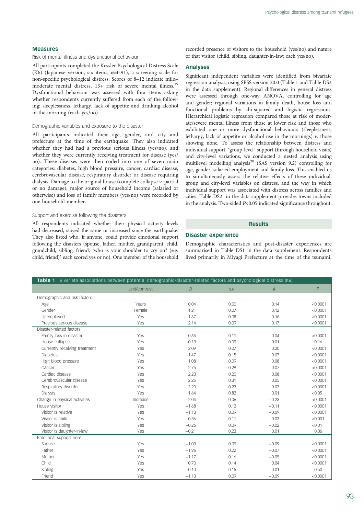## <span id="page-2-0"></span>Measures

Risk of mental illness and dysfunctional behaviour

All participants completed the Kessler Psychological Distress Scale (K6) (Japanese version, six items,  $\alpha=0.91$ ), a screening scale for non-specific psychological distress. Scores of 8–12 indicate mild– moderate mental distress, 13+ risk of severe mental illness.<sup>[19](#page-6-0)</sup> Dysfunctional behaviour was assessed with four items asking whether respondents currently suffered from each of the following: sleeplessness, lethargy, lack of appetite and drinking alcohol in the morning (each yes/no).

## Demographic variables and exposure to the disaster

All participants indicated their age, gender, and city and prefecture at the time of the earthquake. They also indicated whether they had had a previous serious illness (yes/no), and whether they were currently receiving treatment for disease (yes/ no). These diseases were then coded into one of seven main categories: diabetes, high blood pressure, cancer, cardiac disease, cerebrovascular disease, respiratory disorder or disease requiring dialysis. Damage to the original house (complete collapse  $\nu$ . partial or no damage), major source of household income (salaried or otherwise) and loss of family members (yes/no) were recorded by one household member.

#### Support and exercise following the disasters

All respondents indicated whether their physical activity levels had decreased, stayed the same or increased since the earthquake. They also listed who, if anyone, could provide emotional support following the disasters (spouse, father, mother, grandparent, child, grandchild, sibling, friend; 'who is your shoulder to cry on? (e.g. child, friend)' each scored yes or no). One member of the household

recorded presence of visitors to the household (yes/no) and nature of that visitor (child, sibling, daughter-in-law; each yes/no).

# Analyses

Significant independent variables were identified from bivariate regression analysis, using SPSS version 20.0 (Table 1 and Table DS3 in the data supplement). Regional differences in general distress were assessed through one-way ANOVA, controlling for age and gender; regional variations in family death, house loss and functional problems by chi-squared and logistic regressions. Hierarchical logistic regression compared those at risk of moderate/severe mental illness from those at lower risk and those who exhibited one or more dysfunctional behaviours (sleeplessness, lethargy, lack of appetite or alcohol use in the mornings)  $v$ . those showing none. To assess the relationship between distress and individual support, 'group-level' support (through household visits) and city-level variations, we conducted a nested analysis using multilevel modelling analysis<sup>20</sup> (SAS version 9.2) controlling for age, gender, salaried employment and family loss. This enabled us to simultaneously assess the relative effects of these individual, group and city-level variables on distress, and the way in which individual support was associated with distress across families and cities. Table DS2 in the data supplement provides towns included in the analysis. Two-sided P<0.05 indicated significance throughout.

# Results

# Disaster experience

Demographic characteristics and post-disaster experiences are summarised in Table DS1 in the data supplement. Respondents lived primarily in Miyagi Prefecture at the time of the tsunami;

| Table 1 Bivariate associations between potential demographic/disaster-related factors and psychological distress (K6) |               |                |      |         |          |
|-----------------------------------------------------------------------------------------------------------------------|---------------|----------------|------|---------|----------|
|                                                                                                                       | Unit/contrast | $\overline{B}$ | s.e. | $\beta$ | P        |
| Demographic and risk factors                                                                                          |               |                |      |         |          |
| Age                                                                                                                   | Years         | 0.04           | 0.00 | 0.14    | < 0.0001 |
| Gender                                                                                                                | Female        | 1.21           | 0.07 | 0.12    | < 0.0001 |
| Unemployed                                                                                                            | Yes           | 1.67           | 0.08 | 0.16    | < 0.0001 |
| Previous serious disease                                                                                              | Yes           | 2.14           | 0.09 | 0.17    | < 0.0001 |
| Disaster-related factors                                                                                              |               |                |      |         |          |
| Family loss in disaster                                                                                               | Yes           | 0.65           | 0.11 | 0.04    | < 0.0001 |
| House collapse                                                                                                        | Yes           | 0.13           | 0.09 | 0.01    | 0.16     |
| Currently receiving treatment                                                                                         | Yes           | 2.09           | 0.07 | 0.20    | < 0.0001 |
| <b>Diabetes</b>                                                                                                       | Yes           | 1.47           | 0.15 | 0.07    | < 0.0001 |
| High blood pressure                                                                                                   | Yes           | 1.08           | 0.09 | 0.08    | < 0.0001 |
| Cancer                                                                                                                | Yes           | 2.75           | 0.29 | 0.07    | < 0.0001 |
| Cardiac disease                                                                                                       | Yes           | 2.23           | 0.20 | 0.08    | < 0.0001 |
| Cerebrovascular disease                                                                                               | Yes           | 2.25           | 0.31 | 0.05    | < 0.0001 |
| Respiratory disorder                                                                                                  | Yes           | 2.20           | 0.23 | 0.07    | < 0.0001 |
| Dialysis                                                                                                              | Yes           | 1.64           | 0.82 | 0.01    | < 0.05   |
| Change in physical activities                                                                                         | Increase      | $-2.04$        | 0.06 | $-0.23$ | < 0.0001 |
| House visitor                                                                                                         | Yes           | $-1.68$        | 0.12 | $-0.11$ | < 0.0001 |
| Visitor is relative                                                                                                   | Yes           | $-1.13$        | 0.09 | $-0.09$ | < 0.0001 |
| Visitor is child                                                                                                      | Yes           | 0.36           | 0.11 | 0.03    | < 0.001  |
| Visitor is sibling                                                                                                    | Yes           | $-0.26$        | 0.09 | $-0.02$ | < 0.01   |
| Visitor is daughter-in-law                                                                                            | Yes           | $-0.21$        | 0.23 | 0.01    | 0.36     |
| Emotional support from                                                                                                |               |                |      |         |          |
| Spouse                                                                                                                | Yes           | $-1.03$        | 0.09 | $-0.09$ | < 0.0001 |
| Father                                                                                                                | Yes           | $-1.96$        | 0.22 | $-0.07$ | < 0.0001 |
| Mother                                                                                                                | Yes           | $-1.17$        | 0.16 | $-0.05$ | < 0.0001 |
| Child                                                                                                                 | Yes           | 0.70           | 0.14 | 0.04    | < 0.0001 |
| Sibling                                                                                                               | Yes           | 0.10           | 0.15 | 0.01    | 0.50     |
| Friend                                                                                                                | Yes           | $-1.13$        | 0.09 | $-0.09$ | < 0.0001 |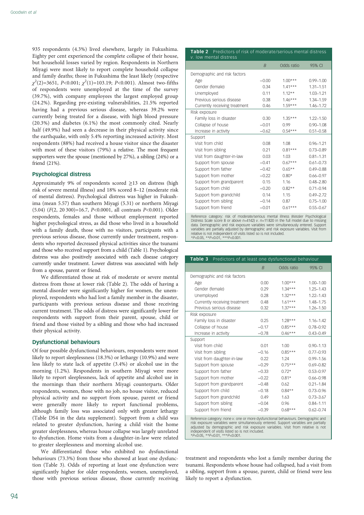935 respondents (4.3%) lived elsewhere, largely in Fukushima. Eighty per cent experienced the complete collapse of their house, but household losses varied by region. Respondents in Northern Miyagi were most likely to report complete household collapse and family deaths; those in Fukushima the least likely (respective  $\chi^2(2)=3651, P<0.001; \chi^2(1)=103.19; P<0.001$ ). Almost two-fifths of respondents were unemployed at the time of the survey (39.7%), with company employees the largest employed group (24.2%). Regarding pre-existing vulnerabilities, 21.5% reported having had a previous serious disease, whereas 39.2% were currently being treated for a disease, with high blood pressure (20.3%) and diabetes (6.1%) the most commonly cited. Nearly half (49.9%) had seen a decrease in their physical activity since the earthquake, with only 5.4% reporting increased activity. Most respondents (88%) had received a house visitor since the disaster with most of these visitors (79%) a relative. The most frequent supporters were the spouse (mentioned by 27%), a sibling (24%) or a friend (21%).

#### Psychological distress

Approximately 9% of respondents scored ≥13 on distress (high risk of severe mental illness) and 18% scored 8–12 (moderate risk of mental distress). Psychological distress was higher in Fukushima (mean 5.57) than southern Miyagi (5.31) or northern Miyagi (5.04) (F(2, 20 300)=16.7, P<0.0001, all contrasts P<0.001). Older respondents, females and those without employment reported higher psychological stress, as did those who lived in a household with a family death, those with no visitors, participants with a previous serious disease, those currently under treatment, respondents who reported decreased physical activities since the tsunami and those who received support from a child [\(Table 1\)](#page-2-0). Psychological distress was also positively associated with each disease category currently under treatment. Lower distress was associated with help from a spouse, parent or friend.

We differentiated those at risk of moderate or severe mental distress from those at lower risk (Table 2). The odds of having a mental disorder were significantly higher for women, the unemployed, respondents who had lost a family member in the disaster, participants with previous serious disease and those receiving current treatment. The odds of distress were significantly lower for respondents with support from their parent, spouse, child or friend and those visited by a sibling and those who had increased their physical activity.

### Dysfunctional behaviours

Of four possible dysfunctional behaviours, respondents were most likely to report sleeplessness (18.3%) or lethargy (10.9%) and were less likely to state lack of appetite (3.4%) or alcohol use in the morning (1.2%). Respondents in southern Miyagi were more likely to report sleeplessness, lack of appetite and alcohol use in the mornings than their northern Miyagi counterparts. Older respondents, women, those with no job, no house visitor, reduced physical activity and no support from spouse, parent or friend were generally more likely to report functional problems, although family loss was associated only with greater lethargy (Table DS4 in the data supplement). Support from a child was related to greater dysfunction, having a child visit the home greater sleeplessness, whereas house collapse was largely unrelated to dysfunction. Home visits from a daughter-in-law were related to greater sleeplessness and morning alcohol use.

We differentiated those who exhibited no dysfunctional behaviours (73.3%) from those who showed at least one dysfunction (Table 3). Odds of reporting at least one dysfunction were significantly higher for older respondents, women, unemployed, those with previous serious disease, those currently receiving

#### Table 2 Predictors of risk of moderate/serious mental distress mental distres

|                               | $\overline{B}$ | Odds ratio | 95% CI        |
|-------------------------------|----------------|------------|---------------|
| Demographic and risk factors  |                |            |               |
| Age                           | $-0.00$        | $1.00***$  | $0.99 - 1.00$ |
| Gender (female)               | 0.34           | $141***$   | $1.31 - 1.51$ |
| Unemployed                    | 0.11           | $1.12**$   | 1.03-1.21     |
| Previous serious disease      | 0.38           | $1.46***$  | 1.34-1.59     |
| Currently receiving treatment | 0.46           | $1.59***$  | 1.46-1.72     |
| Risk exposure                 |                |            |               |
| Family loss in disaster       | 0.30           | $1.35***$  | $1.22 - 1.50$ |
| Collapse of house             | $-0.01$        | 0.99       | $0.90 - 1.08$ |
| Increase in activity          | $-0.62$        | $0.54***$  | $0.51 - 0.58$ |
| Support                       |                |            |               |
| Visit from child              | 0.08           | 1.08       | $0.96 - 1.21$ |
| Visit from sibling            | 0.21           | $0.81***$  | $0.73 - 0.89$ |
| Visit from daughter-in-law    | 0.03           | 1.03       | $0.81 - 1.31$ |
| Support from spouse           | $-0.41$        | $0.67***$  | $0.61 - 0.73$ |
| Support from father           | $-0.42$        | $0.65**$   | $0.49 - 0.88$ |
| Support from mother           | $-0.22$        | $0.80*$    | $0.66 - 0.97$ |
| Support from grandparent      | 0.15           | 116        | $0.48 - 2.80$ |
| Support from child            | $-0.20$        | $0.82**$   | $0.71 - 0.94$ |
| Support from grandchild       | 0.14           | 1.15       | $0.49 - 2.72$ |
| Support from sibling          | $-0.14$        | 0.87       | $0.75 - 1.00$ |
| Support from friend           | $-0.01$        | $0.61***$  | $0.55 - 0.67$ |
|                               |                |            |               |

Reference category: risk of moderate/serious mental illness (Kessler Psychological Distress Scale score 8 or above  $n=4142$ ) v.  $n=11,820$  in the full model due to missing data. Demographic and risk exposure variables were simultaneously entered. Support variables are partially adjusted by demographic and risk exposure variables. Visit from relative is not independent of visits listed so is not included. \*P<0.05, \*\*P<0.01, \*\*\*P<0.001.

| Table 3<br>Predictors of at least one dysfunctional behaviour                                                                                                                                                                                                |                |            |               |
|--------------------------------------------------------------------------------------------------------------------------------------------------------------------------------------------------------------------------------------------------------------|----------------|------------|---------------|
|                                                                                                                                                                                                                                                              | $\overline{B}$ | Odds ratio | 95% CI        |
| Demographic and risk factors                                                                                                                                                                                                                                 |                |            |               |
| Age                                                                                                                                                                                                                                                          | 0.00           | $1.00***$  | $1.00 - 1.00$ |
| Gender (female)                                                                                                                                                                                                                                              | 0.29           | $1.34***$  | $1.25 - 1.43$ |
| Unemployed                                                                                                                                                                                                                                                   | 0.28           | $1.32***$  | $1.22 - 1.43$ |
| Currently receiving treatment                                                                                                                                                                                                                                | 0.48           | $1.61***$  | 1.48-1.75     |
| Previous serious disease                                                                                                                                                                                                                                     | 0.32           | $1.37***$  | $1.26 - 1.50$ |
| Risk exposure                                                                                                                                                                                                                                                |                |            |               |
| Family loss in disaster                                                                                                                                                                                                                                      | 0.25           | $1.28***$  | $1.16 - 1.42$ |
| Collapse of house                                                                                                                                                                                                                                            | $-0.17$        | $0.85***$  | $0.78 - 0.92$ |
| Increase in activity                                                                                                                                                                                                                                         | $-0.78$        | $0.46***$  | $0.43 - 0.49$ |
| Support                                                                                                                                                                                                                                                      |                |            |               |
| Visit from child                                                                                                                                                                                                                                             | 0.01           | 1.00       | $0.90 - 1.13$ |
| Visit from sibling                                                                                                                                                                                                                                           | $-0.16$        | $0.85***$  | $0.77 - 0.93$ |
| Visit from daughter-in-law                                                                                                                                                                                                                                   | 0.22           | 1.24       | $0.99 - 1.56$ |
| Support from spouse                                                                                                                                                                                                                                          | $-0.29$        | $0.75***$  | $0.69 - 0.82$ |
| Support from father                                                                                                                                                                                                                                          | $-0.33$        | $0.72*$    | $0.53 - 0.97$ |
| Support from mother                                                                                                                                                                                                                                          | $-0.22$        | $0.81*$    | $0.66 - 0.98$ |
| Support from grandparent                                                                                                                                                                                                                                     | $-0.48$        | 0.62       | $0.21 - 1.84$ |
| Support from child                                                                                                                                                                                                                                           | $-0.18$        | $0.84**$   | $0.73 - 0.96$ |
| Support from grandchild                                                                                                                                                                                                                                      | 0.49           | 1.63       | $0.73 - 3.67$ |
| Support from sibling                                                                                                                                                                                                                                         | $-0.04$        | 0.96       | $0.84 - 1.11$ |
| Support from friend                                                                                                                                                                                                                                          | $-0.39$        | $0.68***$  | $0.62 - 0.74$ |
| Reference category: none v. one or more dysfunctional behaviours. Demographic and<br>risk exposure variables were simultaneously entered. Support variables are partially<br>adjusted by demographic and risk exposure variables. Visit from relative is not |                |            |               |

independent of visits listed so is not included. \*P<0.05, \*\*P<0.01, \*\*\*P<0.001.

treatment and respondents who lost a family member during the tsunami. Respondents whose house had collapsed, had a visit from a sibling, support from a spouse, parent, child or friend were less likely to report a dysfunction.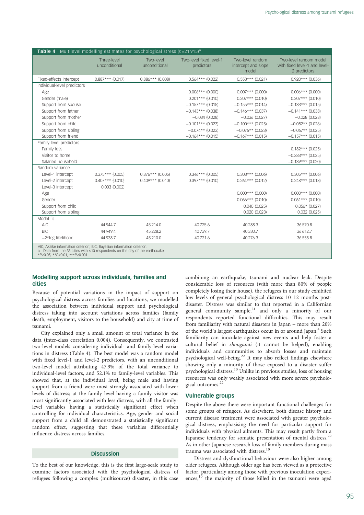| <b>Table 4</b> Multilevel modelling estimates for psychological stress $(n=21915)^{a}$                                                                                                     |                              |                            |                                       |                                                  |                                                                         |
|--------------------------------------------------------------------------------------------------------------------------------------------------------------------------------------------|------------------------------|----------------------------|---------------------------------------|--------------------------------------------------|-------------------------------------------------------------------------|
|                                                                                                                                                                                            | Three-level<br>unconditional | Two-level<br>unconditional | Two-level fixed level-1<br>predictors | Two-level random<br>intercept and slope<br>model | Two-level random model<br>with fixed level-1 and level-<br>2 predictors |
| Fixed-effects intercept                                                                                                                                                                    | $0.887***$ (0.017)           | $0.886***$ (0.008)         | $0.564***$ (0.022)                    | $0.553***$ (0.021)                               | $0.920***$ (0.036)                                                      |
| Individual-level predictors                                                                                                                                                                |                              |                            |                                       |                                                  |                                                                         |
| Age                                                                                                                                                                                        |                              |                            | $0.006***$ (0.000)                    | $0.007***$ (0.000)                               | $0.006***$ (0.000)                                                      |
| Gender (male)                                                                                                                                                                              |                              |                            | $0.201***$ (0.010)                    | $0.207***$ (0.010)                               | $0.207***$ (0.010)                                                      |
| Support from spouse                                                                                                                                                                        |                              |                            | $-0.157***$ (0.015)                   | $-0.155***$ (0.014)                              | $-0.133***$ (0.015)                                                     |
| Support from father                                                                                                                                                                        |                              |                            | $-0.143***$ (0.038)                   | $-0.146***$ (0.037)                              | $-0.141***$ (0.038)                                                     |
| Support from mother                                                                                                                                                                        |                              |                            | $-0.034(0.028)$                       | $-0.036(0.027)$                                  | $-0.028(0.028)$                                                         |
| Support from child                                                                                                                                                                         |                              |                            | $-0.101***$ (0.023)                   | $-0.100***$ (0.025)                              | $-0.082**$ (0.026)                                                      |
| Support from sibling                                                                                                                                                                       |                              |                            | $-0.074**$ (0.023)                    | $-0.076**$ (0.023)                               | $-0.067**$ (0.025)                                                      |
| Support from friend                                                                                                                                                                        |                              |                            | $-0.164***$ (0.015)                   | $-0.167***$ (0.015)                              | $-0.157***$ (0.015)                                                     |
| Family-level predictors                                                                                                                                                                    |                              |                            |                                       |                                                  |                                                                         |
| Family loss                                                                                                                                                                                |                              |                            |                                       |                                                  | $0.182***$ (0.025)                                                      |
| Visitor to home                                                                                                                                                                            |                              |                            |                                       |                                                  | $-0.333***$ (0.025)                                                     |
| Salaried household                                                                                                                                                                         |                              |                            |                                       |                                                  | $-0.139***$ (0.020)                                                     |
| Random variance                                                                                                                                                                            |                              |                            |                                       |                                                  |                                                                         |
| Level-1 intercept                                                                                                                                                                          | $0.375***$ (0.005)           | $0.376***$ (0.005)         | $0.346***$ (0.005)                    | $0.303***$ (0.006)                               | $0.305***$ (0.006)                                                      |
| Level-2 intercept                                                                                                                                                                          | $0.407***$ (0.010)           | $0.409***$ (0.010)         | $0.397***$ (0.010)                    | $0.264***$ (0.012)                               | $0.248***$ (0.013)                                                      |
| Level-3 intercept                                                                                                                                                                          | 0.003(0.002)                 |                            |                                       |                                                  |                                                                         |
| Age                                                                                                                                                                                        |                              |                            |                                       | $0.000***$ (0.000)                               | $0.000***$ (0.000)                                                      |
| Gender                                                                                                                                                                                     |                              |                            |                                       | $0.066***$ (0.010)                               | $0.061***$ (0.010)                                                      |
| Support from child                                                                                                                                                                         |                              |                            |                                       | 0.040(0.025)                                     | $0.056*$ (0.027)                                                        |
| Support from sibling                                                                                                                                                                       |                              |                            |                                       | 0.020(0.023)                                     | 0.032(0.025)                                                            |
| Model fit                                                                                                                                                                                  |                              |                            |                                       |                                                  |                                                                         |
| <b>AIC</b>                                                                                                                                                                                 | 44 944.7                     | 45214.0                    | 40725.6                               | 40288.3                                          | 36 570.8                                                                |
| <b>BIC</b>                                                                                                                                                                                 | 44 949.4                     | 45 2 28.2                  | 40739.7                               | 40 330.7                                         | 36 612.7                                                                |
| -2*log likelihood                                                                                                                                                                          | 44 938.7                     | 45 210.0                   | 40721.6                               | 40 276.3                                         | 36 558.8                                                                |
| AIC, Akaike information criterion; BIC, Bayesian information criterion.<br>a. Data from the 33 cities with >10 respondents on the day of the earthquake.<br>*P<0.05, **P<0.01, ***P<0.001. |                              |                            |                                       |                                                  |                                                                         |

# Modelling support across individuals, families and cities

Because of potential variations in the impact of support on psychological distress across families and locations, we modelled the association between individual support and psychological distress taking into account variations across families (family death, employment, visitors to the household) and city at time of tsunami.

City explained only a small amount of total variance in the data (inter-class correlation 0.004). Consequently, we contrasted two-level models considering individual- and family-level variations in distress (Table 4). The best model was a random model with fixed level-1 and level-2 predictors, with an unconditional two-level model attributing 47.9% of the total variance to individual-level factors, and 52.1% to family-level variables. This showed that, at the individual level, being male and having support from a friend were most strongly associated with lower levels of distress; at the family level having a family visitor was most significantly associated with less distress, with all the familylevel variables having a statistically significant effect when controlling for individual characteristics. Age, gender and social support from a child all demonstrated a statistically significant random effect, suggesting that these variables differentially influence distress across families.

# Discussion

To the best of our knowledge, this is the first large-scale study to examine factors associated with the psychological distress of refugees following a complex (multisource) disaster, in this case

combining an earthquake, tsunami and nuclear leak. Despite considerable loss of resources (with more than 80% of people completely losing their house), the refugees in our study exhibited low levels of general psychological distress 10–12 months postdisaster. Distress was similar to that reported in a Californian general community sample, $21$  and only a minority of our respondents reported functional difficulties. This may result from familiarity with natural disasters in Japan – more than 20% of the world's largest earthquakes occur in or around Japan.<sup>[4](#page-6-0)</sup> Such familiarity can inoculate against new events and help foster a cultural belief in shouganai (it cannot be helped), enabling individuals and communities to absorb losses and maintain psychological well-being.<sup>[22](#page-6-0)</sup> It may also reflect findings elsewhere showing only a minority of those exposed to a disaster suffer psychological distress.[10](#page-6-0) Unlike in previous studies, loss of housing resources was only weakly associated with more severe psycholo-gical outcomes.<sup>[22](#page-6-0)</sup>

# Vulnerable groups

Despite the above there were important functional challenges for some groups of refugees. As elsewhere, both disease history and current disease treatment were associated with greater psychological distress, emphasising the need for particular support for individuals with physical ailments. This may result partly from a Japanese tendency for somatic presentation of mental distress.<sup>[22](#page-6-0)</sup> As in other Japanese research loss of family members during mass trauma was associated with distress.<sup>[10](#page-6-0)</sup>

Distress and dysfunctional behaviour were also higher among older refugees. Although older age has been viewed as a protective factor, particularly among those with previous inoculation experi-ences,<sup>[10](#page-6-0)</sup> the majority of those killed in the tsunami were aged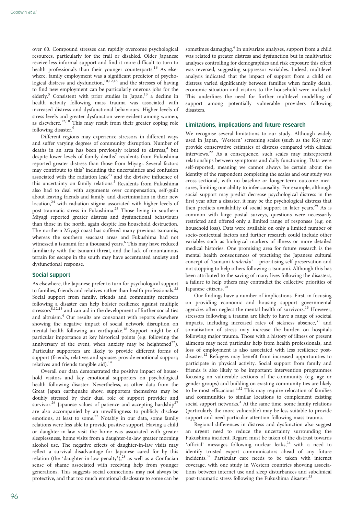over 60. Compound stresses can rapidly overcome psychological resources, particularly for the frail or disabled. Older Japanese receive less informal support and find it more difficult to turn to health professionals than their younger counterparts.<sup>[16](#page-6-0)</sup> As elsewhere, family employment was a significant predictor of psycho-logical distress and dysfunction,<sup>[10,12,18](#page-6-0)</sup> and the stresses of having to find new employment can be particularly onerous jobs for the elderly.<sup>[5](#page-6-0)</sup> Consistent with prior studies in Japan,<sup>[13](#page-6-0)</sup> a decline in health activity following mass trauma was associated with increased distress and dysfunctional behaviours. Higher levels of stress levels and greater dysfunction were evident among women, as elsewhere.<sup>[12,18](#page-6-0)</sup> This may result from their greater coping role following disaster.<sup>[9](#page-6-0)</sup>

Different regions may experience stressors in different ways and suffer varying degrees of community disruption. Number of deaths in an area has been previously related to distress,<sup>[4](#page-6-0)</sup> but despite lower levels of family deaths<sup>[7](#page-6-0)</sup> residents from Fukushima reported greater distress than those from Miyagi. Several factors may contribute to this<sup>[5](#page-6-0)</sup> including the uncertainties and confusion associated with the radiation leak<sup>[23](#page-6-0)</sup> and the divisive influence of this uncertainty on family relations.<sup>[5](#page-6-0)</sup> Residents from Fukushima also had to deal with arguments over compensation, self-guilt about leaving friends and family, and discrimination in their new location,<sup>[24](#page-6-0)</sup> with radiation stigma associated with higher levels of post-traumatic stress in Fukushima.<sup>[25](#page-6-0)</sup> Those living in southern Miyagi reported greater distress and dysfunctional behaviours than those in the north, again despite less household destruction. The northern Miyagi coast has suffered many previous tsunamis, whereas the southern seacoast areas and Fukushima had not witnessed a tsunami for a thousand years.<sup>[6](#page-6-0)</sup> This may have reduced familiarity with the tsunami threat, and the lack of mountainous terrain for escape in the south may have accentuated anxiety and dysfunctional response.

## Social support

As elsewhere, the Japanese prefer to turn for psychological support to families, friends and relatives rather than health professionals. $^{22}$  $^{22}$  $^{22}$ Social support from family, friends and community members following a disaster can help bolster resilience against multiple stressors<sup>[8,12,13](#page-6-0)</sup> and can aid in the development of further social ties and altruism.<sup>[4](#page-6-0)</sup> Our results are consonant with reports elsewhere showing the negative impact of social network disruption on mental health following an earthquake.<sup>[18](#page-6-0)</sup> Support might be of particular importance at key historical points (e.g. following the anniversary of the event, when anxiety may be heightened $^{22}$ ). Particular supporters are likely to provide different forms of support (friends, relatives and spouses provide emotional support; relatives and friends tangible aid).<sup>[14](#page-6-0)</sup>

Overall our data demonstrated the positive impact of household visitors and key emotional supporters on psychological health following disaster. Nevertheless, as other data from the Great Japan earthquake show, supporters themselves may be doubly stressed by their dual role of support provider and survivor.<sup>[26](#page-6-0)</sup> Japanese values of patience and accepting hardship<sup>[27](#page-6-0)</sup> are also accompanied by an unwillingness to publicly disclose emotions, at least to some.<sup>[22](#page-6-0)</sup> Notably in our data, some family relations were less able to provide positive support. Having a child or daughter-in-law visit the home was associated with greater sleeplessness, home visits from a daughter-in-law greater morning alcohol use. The negative effects of daughter-in-law visits may reflect a survival disadvantage for Japanese cared for by this relation (the 'daughter-in-law penalty'), $^{28}$  $^{28}$  $^{28}$  as well as a Confucian sense of shame associated with receiving help from younger generations. This suggests social connections may not always be protective, and that too much emotional disclosure to some can be

sometimes damaging.<sup>[4](#page-6-0)</sup> In univariate analyses, support from a child was related to greater distress and dysfunction but in multivariate analyses controlling for demographics and risk exposure this effect was reversed, suggesting suppressor variables. Indeed, multilevel analysis indicated that the impact of support from a child on distress varied significantly between families when family death, economic situation and visitors to the household were included. This underlines the need for further multilevel modelling of support among potentially vulnerable providers following disasters.

# Limitations, implications and future research

We recognise several limitations to our study. Although widely used in Japan, 'Western' screening scales (such as the K6) may provide conservative estimates of distress compared with clinical interviews.[22](#page-6-0) As a consequence, such scales may misrepresent relationships between symptoms and daily functioning. Data were self-reported, meaning we cannot always be certain about the identity of the respondent completing the scales and our study was cross-sectional, with no baseline or longer-term outcome measures, limiting our ability to infer causality. For example, although social support may predict decrease psychological distress in the first year after a disaster, it may be the psychological distress that then predicts availability of social support in later years.<sup>[29](#page-6-0)</sup> As is common with large postal surveys, questions were necessarily restricted and offered only a limited range of responses (e.g. on household loss). Data were available on only a limited number of socio-contextual factors and further research could include other variables such as biological markers of illness or more detailed medical histories. One promising area for future research is the mental health consequences of practising the Japanese cultural concept of 'tsunami tendenko' – prioritising self-preservation and not stopping to help others following a tsunami. Although this has been attributed to the saving of many lives following the disasters, a failure to help others may contradict the collective priorities of Japanese citizens.<sup>[30](#page-6-0)</sup>

Our findings have a number of implications. First, in focusing on providing economic and housing support governmental agencies often neglect the mental health of survivors.<sup>[13](#page-6-0)</sup> However, stressors following a trauma are likely to have a range of societal impacts, including increased rates of sickness absence, $31$  and somatisation of stress may increase the burden on hospitals following major trauma. Those with a history of illness or present ailments may need particular help from health professionals, and loss of employment is also associated with less resilience postdisaster.[12](#page-6-0) Refugees may benefit from increased opportunities to participate in physical activity. Social support from family and friends is also likely to be important: intervention programmes focusing on vulnerable sections of the community (e.g. age or gender groups) and building on existing community ties are likely to be most efficacious.[4,32](#page-6-0) This may require relocation of families and communities to similar locations to complement existing social support networks.<sup>[4](#page-6-0)</sup> At the same time, some family relations (particularly the more vulnerable) may be less suitable to provide support and need particular attention following mass trauma.

Regional differences in distress and dysfunction also suggest an urgent need to reduce the uncertainty surrounding the Fukushima incident. Regard must be taken of the distrust towards 'official' messages following nuclear leaks,<sup>[24](#page-6-0)</sup> with a need to identify trusted expert communicators ahead of any future incidents.[32](#page-6-0) Particular care needs to be taken with internet coverage, with one study in Western countries showing associations between internet use and sleep disturbances and subclinical post-traumatic stress following the Fukushima disaster.<sup>[33](#page-6-0)</sup>